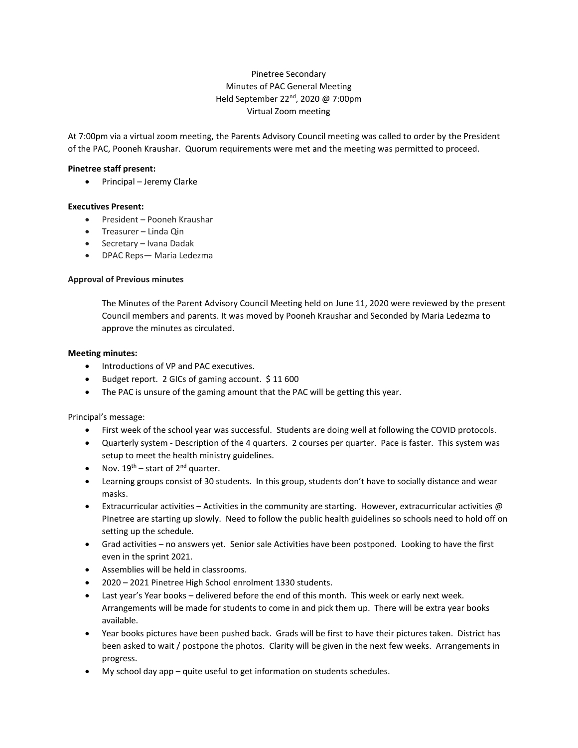# Pinetree Secondary Minutes of PAC General Meeting Held September 22<sup>nd</sup>, 2020 @ 7:00pm Virtual Zoom meeting

At 7:00pm via a virtual zoom meeting, the Parents Advisory Council meeting was called to order by the President of the PAC, Pooneh Kraushar. Quorum requirements were met and the meeting was permitted to proceed.

# **Pinetree staff present:**

• Principal – Jeremy Clarke

# **Executives Present:**

- President Pooneh Kraushar
- Treasurer Linda Qin
- Secretary Ivana Dadak
- DPAC Reps— Maria Ledezma

### **Approval of Previous minutes**

The Minutes of the Parent Advisory Council Meeting held on June 11, 2020 were reviewed by the present Council members and parents. It was moved by Pooneh Kraushar and Seconded by Maria Ledezma to approve the minutes as circulated.

### **Meeting minutes:**

- Introductions of VP and PAC executives.
- Budget report. 2 GICs of gaming account. \$ 11 600
- The PAC is unsure of the gaming amount that the PAC will be getting this year.

### Principal's message:

- First week of the school year was successful. Students are doing well at following the COVID protocols.
- Quarterly system Description of the 4 quarters. 2 courses per quarter. Pace is faster. This system was setup to meet the health ministry guidelines.
- Nov.  $19^{th}$  start of  $2^{nd}$  quarter.
- Learning groups consist of 30 students. In this group, students don't have to socially distance and wear masks.
- Extracurricular activities Activities in the community are starting. However, extracurricular activities  $\omega$ PInetree are starting up slowly. Need to follow the public health guidelines so schools need to hold off on setting up the schedule.
- Grad activities no answers yet. Senior sale Activities have been postponed. Looking to have the first even in the sprint 2021.
- Assemblies will be held in classrooms.
- 2020 2021 Pinetree High School enrolment 1330 students.
- Last year's Year books delivered before the end of this month. This week or early next week. Arrangements will be made for students to come in and pick them up. There will be extra year books available.
- Year books pictures have been pushed back. Grads will be first to have their pictures taken. District has been asked to wait / postpone the photos. Clarity will be given in the next few weeks. Arrangements in progress.
- My school day app quite useful to get information on students schedules.